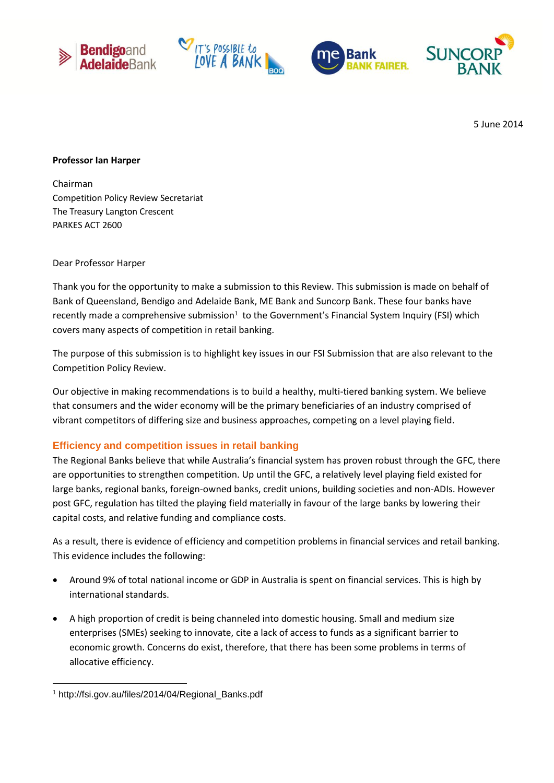







5 June 2014

#### **Professor Ian Harper**

Chairman Competition Policy Review Secretariat The Treasury Langton Crescent PARKES ACT 2600

#### Dear Professor Harper

Thank you for the opportunity to make a submission to this Review. This submission is made on behalf of Bank of Queensland, Bendigo and Adelaide Bank, ME Bank and Suncorp Bank. These four banks have recently made a comprehensive submission<sup>1</sup> to the Government's Financial System Inquiry (FSI) which covers many aspects of competition in retail banking.

The purpose of this submission is to highlight key issues in our FSI Submission that are also relevant to the Competition Policy Review.

Our objective in making recommendations is to build a healthy, multi-tiered banking system. We believe that consumers and the wider economy will be the primary beneficiaries of an industry comprised of vibrant competitors of differing size and business approaches, competing on a level playing field.

## **Efficiency and competition issues in retail banking**

The Regional Banks believe that while Australia's financial system has proven robust through the GFC, there are opportunities to strengthen competition. Up until the GFC, a relatively level playing field existed for large banks, regional banks, foreign-owned banks, credit unions, building societies and non-ADIs. However post GFC, regulation has tilted the playing field materially in favour of the large banks by lowering their capital costs, and relative funding and compliance costs.

As a result, there is evidence of efficiency and competition problems in financial services and retail banking. This evidence includes the following:

- Around 9% of total national income or GDP in Australia is spent on financial services. This is high by international standards.
- A high proportion of credit is being channeled into domestic housing. Small and medium size enterprises (SMEs) seeking to innovate, cite a lack of access to funds as a significant barrier to economic growth. Concerns do exist, therefore, that there has been some problems in terms of allocative efficiency.

**<sup>.</sup>** <sup>1</sup> http://fsi.gov.au/files/2014/04/Regional\_Banks.pdf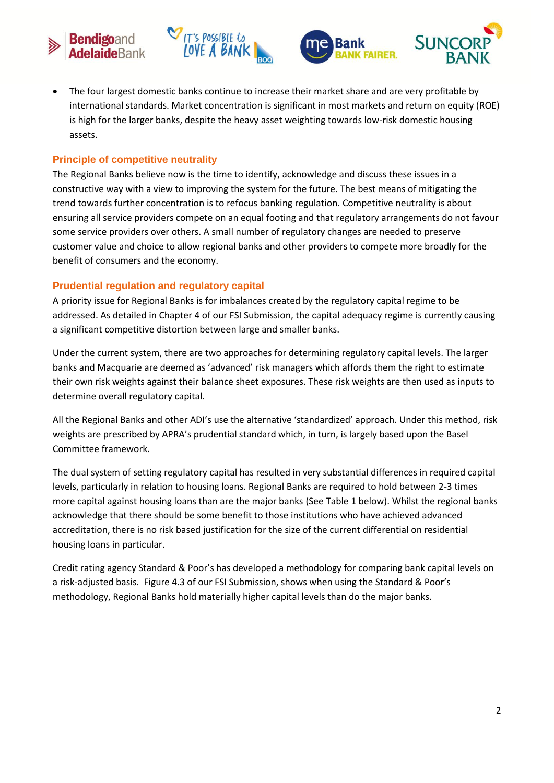







 The four largest domestic banks continue to increase their market share and are very profitable by international standards. Market concentration is significant in most markets and return on equity (ROE) is high for the larger banks, despite the heavy asset weighting towards low-risk domestic housing assets.

# **Principle of competitive neutrality**

The Regional Banks believe now is the time to identify, acknowledge and discuss these issues in a constructive way with a view to improving the system for the future. The best means of mitigating the trend towards further concentration is to refocus banking regulation. Competitive neutrality is about ensuring all service providers compete on an equal footing and that regulatory arrangements do not favour some service providers over others. A small number of regulatory changes are needed to preserve customer value and choice to allow regional banks and other providers to compete more broadly for the benefit of consumers and the economy.

## **Prudential regulation and regulatory capital**

A priority issue for Regional Banks is for imbalances created by the regulatory capital regime to be addressed. As detailed in Chapter 4 of our FSI Submission, the capital adequacy regime is currently causing a significant competitive distortion between large and smaller banks.

Under the current system, there are two approaches for determining regulatory capital levels. The larger banks and Macquarie are deemed as 'advanced' risk managers which affords them the right to estimate their own risk weights against their balance sheet exposures. These risk weights are then used as inputs to determine overall regulatory capital.

All the Regional Banks and other ADI's use the alternative 'standardized' approach. Under this method, risk weights are prescribed by APRA's prudential standard which, in turn, is largely based upon the Basel Committee framework.

The dual system of setting regulatory capital has resulted in very substantial differences in required capital levels, particularly in relation to housing loans. Regional Banks are required to hold between 2-3 times more capital against housing loans than are the major banks (See Table 1 below). Whilst the regional banks acknowledge that there should be some benefit to those institutions who have achieved advanced accreditation, there is no risk based justification for the size of the current differential on residential housing loans in particular.

Credit rating agency Standard & Poor's has developed a methodology for comparing bank capital levels on a risk-adjusted basis. Figure 4.3 of our FSI Submission, shows when using the Standard & Poor's methodology, Regional Banks hold materially higher capital levels than do the major banks.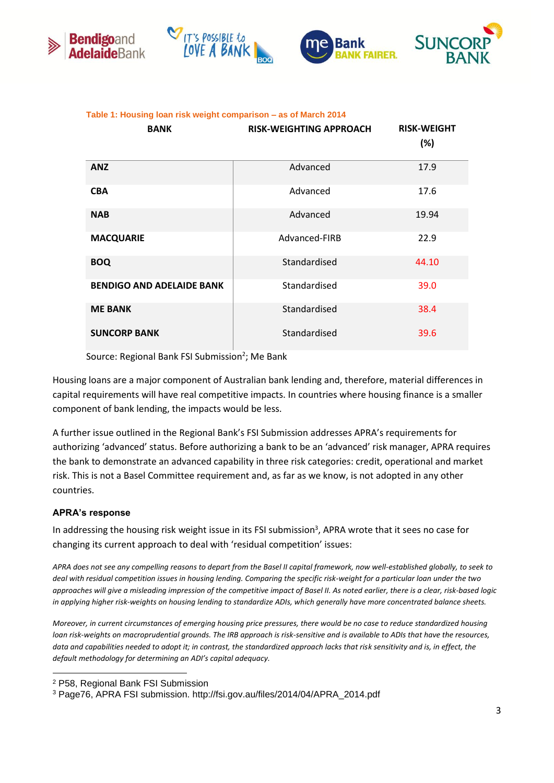







#### **Table 1: Housing loan risk weight comparison – as of March 2014**

| <b>BANK</b>                      | <b>RISK-WEIGHTING APPROACH</b> | <b>RISK-WEIGHT</b><br>(%) |
|----------------------------------|--------------------------------|---------------------------|
| <b>ANZ</b>                       | Advanced                       | 17.9                      |
| <b>CBA</b>                       | Advanced                       | 17.6                      |
| <b>NAB</b>                       | Advanced                       | 19.94                     |
| <b>MACQUARIE</b>                 | Advanced-FIRB                  | 22.9                      |
| <b>BOQ</b>                       | Standardised                   | 44.10                     |
| <b>BENDIGO AND ADELAIDE BANK</b> | Standardised                   | 39.0                      |
| <b>ME BANK</b>                   | Standardised                   | 38.4                      |
| <b>SUNCORP BANK</b>              | Standardised                   | 39.6                      |

Source: Regional Bank FSI Submission<sup>2</sup>; Me Bank

Housing loans are a major component of Australian bank lending and, therefore, material differences in capital requirements will have real competitive impacts. In countries where housing finance is a smaller component of bank lending, the impacts would be less.

A further issue outlined in the Regional Bank's FSI Submission addresses APRA's requirements for authorizing 'advanced' status. Before authorizing a bank to be an 'advanced' risk manager, APRA requires the bank to demonstrate an advanced capability in three risk categories: credit, operational and market risk. This is not a Basel Committee requirement and, as far as we know, is not adopted in any other countries.

## **APRA's response**

 $\overline{a}$ 

In addressing the housing risk weight issue in its FSI submission<sup>3</sup>, APRA wrote that it sees no case for changing its current approach to deal with 'residual competition' issues:

*APRA does not see any compelling reasons to depart from the Basel II capital framework, now well-established globally, to seek to deal with residual competition issues in housing lending. Comparing the specific risk-weight for a particular loan under the two approaches will give a misleading impression of the competitive impact of Basel II. As noted earlier, there is a clear, risk-based logic in applying higher risk-weights on housing lending to standardize ADIs, which generally have more concentrated balance sheets.* 

*Moreover, in current circumstances of emerging housing price pressures, there would be no case to reduce standardized housing loan risk-weights on macroprudential grounds. The IRB approach is risk-sensitive and is available to ADIs that have the resources,*  data and capabilities needed to adopt it; in contrast, the standardized approach lacks that risk sensitivity and is, in effect, the *default methodology for determining an ADI's capital adequacy.*

<sup>2</sup> P58, Regional Bank FSI Submission

<sup>3</sup> Page76, APRA FSI submission. http://fsi.gov.au/files/2014/04/APRA\_2014.pdf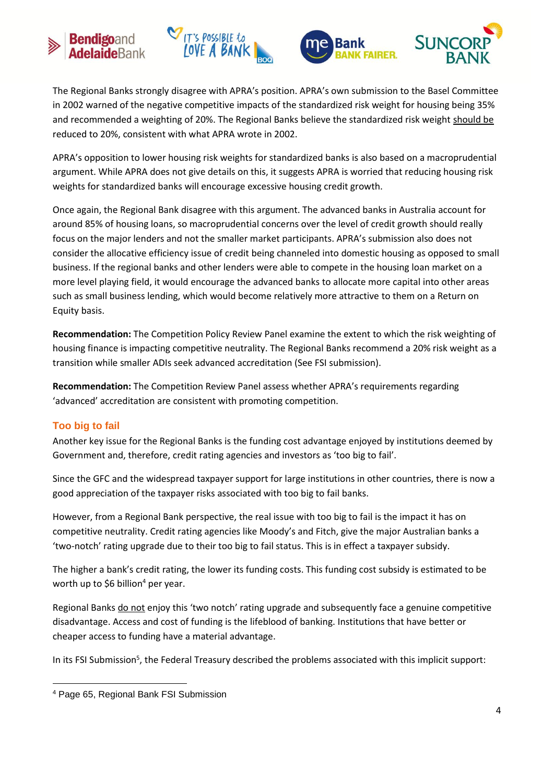





The Regional Banks strongly disagree with APRA's position. APRA's own submission to the Basel Committee in 2002 warned of the negative competitive impacts of the standardized risk weight for housing being 35% and recommended a weighting of 20%. The Regional Banks believe the standardized risk weight should be reduced to 20%, consistent with what APRA wrote in 2002.

APRA's opposition to lower housing risk weights for standardized banks is also based on a macroprudential argument. While APRA does not give details on this, it suggests APRA is worried that reducing housing risk weights for standardized banks will encourage excessive housing credit growth.

Once again, the Regional Bank disagree with this argument. The advanced banks in Australia account for around 85% of housing loans, so macroprudential concerns over the level of credit growth should really focus on the major lenders and not the smaller market participants. APRA's submission also does not consider the allocative efficiency issue of credit being channeled into domestic housing as opposed to small business. If the regional banks and other lenders were able to compete in the housing loan market on a more level playing field, it would encourage the advanced banks to allocate more capital into other areas such as small business lending, which would become relatively more attractive to them on a Return on Equity basis.

**Recommendation:** The Competition Policy Review Panel examine the extent to which the risk weighting of housing finance is impacting competitive neutrality. The Regional Banks recommend a 20% risk weight as a transition while smaller ADIs seek advanced accreditation (See FSI submission).

**Recommendation:** The Competition Review Panel assess whether APRA's requirements regarding 'advanced' accreditation are consistent with promoting competition.

# **Too big to fail**

Another key issue for the Regional Banks is the funding cost advantage enjoyed by institutions deemed by Government and, therefore, credit rating agencies and investors as 'too big to fail'.

Since the GFC and the widespread taxpayer support for large institutions in other countries, there is now a good appreciation of the taxpayer risks associated with too big to fail banks.

However, from a Regional Bank perspective, the real issue with too big to fail is the impact it has on competitive neutrality. Credit rating agencies like Moody's and Fitch, give the major Australian banks a 'two-notch' rating upgrade due to their too big to fail status. This is in effect a taxpayer subsidy.

The higher a bank's credit rating, the lower its funding costs. This funding cost subsidy is estimated to be worth up to \$6 billion<sup>4</sup> per year.

Regional Banks do not enjoy this 'two notch' rating upgrade and subsequently face a genuine competitive disadvantage. Access and cost of funding is the lifeblood of banking. Institutions that have better or cheaper access to funding have a material advantage.

In its FSI Submission<sup>5</sup>, the Federal Treasury described the problems associated with this implicit support:

**<sup>.</sup>** <sup>4</sup> Page 65, Regional Bank FSI Submission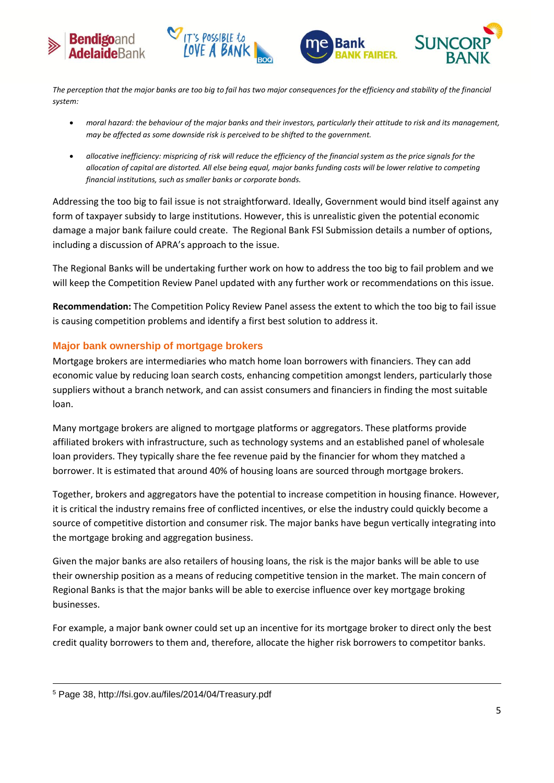





*The perception that the major banks are too big to fail has two major consequences for the efficiency and stability of the financial system:*

**CONT'S POSSIBLE to** 

- *moral hazard: the behaviour of the major banks and their investors, particularly their attitude to risk and its management, may be affected as some downside risk is perceived to be shifted to the government.*
- *allocative inefficiency: mispricing of risk will reduce the efficiency of the financial system as the price signals for the allocation of capital are distorted. All else being equal, major banks funding costs will be lower relative to competing financial institutions, such as smaller banks or corporate bonds.*

Addressing the too big to fail issue is not straightforward. Ideally, Government would bind itself against any form of taxpayer subsidy to large institutions. However, this is unrealistic given the potential economic damage a major bank failure could create. The Regional Bank FSI Submission details a number of options, including a discussion of APRA's approach to the issue.

The Regional Banks will be undertaking further work on how to address the too big to fail problem and we will keep the Competition Review Panel updated with any further work or recommendations on this issue.

**Recommendation:** The Competition Policy Review Panel assess the extent to which the too big to fail issue is causing competition problems and identify a first best solution to address it.

# **Major bank ownership of mortgage brokers**

Mortgage brokers are intermediaries who match home loan borrowers with financiers. They can add economic value by reducing loan search costs, enhancing competition amongst lenders, particularly those suppliers without a branch network, and can assist consumers and financiers in finding the most suitable loan.

Many mortgage brokers are aligned to mortgage platforms or aggregators. These platforms provide affiliated brokers with infrastructure, such as technology systems and an established panel of wholesale loan providers. They typically share the fee revenue paid by the financier for whom they matched a borrower. It is estimated that around 40% of housing loans are sourced through mortgage brokers.

Together, brokers and aggregators have the potential to increase competition in housing finance. However, it is critical the industry remains free of conflicted incentives, or else the industry could quickly become a source of competitive distortion and consumer risk. The major banks have begun vertically integrating into the mortgage broking and aggregation business.

Given the major banks are also retailers of housing loans, the risk is the major banks will be able to use their ownership position as a means of reducing competitive tension in the market. The main concern of Regional Banks is that the major banks will be able to exercise influence over key mortgage broking businesses.

For example, a major bank owner could set up an incentive for its mortgage broker to direct only the best credit quality borrowers to them and, therefore, allocate the higher risk borrowers to competitor banks.

**.** 

<sup>5</sup> Page 38, http://fsi.gov.au/files/2014/04/Treasury.pdf